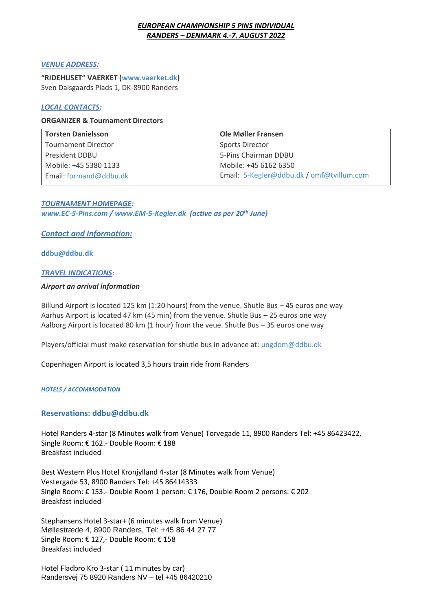## *EUROPEAN CHAMPIONSHIP 5 PINS INDIVIDUAL RANDERS – DENMARK 4.-7. AUGUST 2022*

#### *VENUE ADDRESS:*

**"RIDEHUSET" VAERKET ([www.vaerket.dk\)](http://www.vaerket.dk/)**  Sven Dalsgaards Plads 1, DK-8900 Randers

# *LOCAL CONTACTS:*

## **ORGANIZER & Tournament Directors**

| <b>Torsten Danielsson</b>  | <b>Ole Møller Fransen</b>                 |
|----------------------------|-------------------------------------------|
| <b>Tournament Director</b> | <b>Sports Director</b>                    |
| President DDBU             | 5-Pins Chairman DDBU                      |
| Mobile: +45 5380 1133      | Mobile: +45 6162 6350                     |
| Email: formand@ddbu.dk     | Email: 5-Kegler@ddbu.dk / omf@tvillum.com |

*TOURNAMENT HOMEPAGE: [www.EC-5-Pins.com](http://www.ec-5-pins.com/) / [www.EM-5-Kegler.dk](http://www.em-5-kegler.dk/) (active as per 20th June)* 

# *Contact and Information:*

**[ddbu@ddbu.dk](mailto:Ddbu@ddbu.dk)**

## *TRAVEL INDICATIONS:*

#### *Airport an arrival information*

Billund Airport is located 125 km (1:20 hours) from the venue. Shutle Bus – 45 euros one way Aarhus Airport is located 47 km (45 min) from the venue. Shutle Bus – 25 euros one way Aalborg Airport is located 80 km (1 hour) from the veue. Shutle Bus – 35 euros one way

Players/official must make reservation for shutle bus in advance at[: ungdom@ddbu.dk](mailto:ungdom@ddbu.dk)

Copenhagen Airport is located 3,5 hours train ride from Randers

#### *HOTELS / ACCOMMODATION*

## **Reservations: [ddbu@ddbu.dk](mailto:ddbu@ddbu.dk)**

Hotel Randers 4-star (8 Minutes walk from Venue) Torvegade 11, 8900 Randers Tel: +45 86423422, Single Room: € 162.- Double Room: € 188 Breakfast included

Best Western Plus Hotel Kronjylland 4-star (8 Minutes walk from Venue) Vestergade 53, 8900 Randers Tel: +45 86414333 Single Room: € 153.- Double Room 1 person: € 176, Double Room 2 persons: € 202 Breakfast included

Stephansens Hotel 3-star+ (6 minutes walk from Venue) Møllestræde 4, 8900 Randers, Tel: +45 86 44 27 77 Single Room: € 127,- Double Room: € 158 Breakfast included

Hotel Fladbro Kro 3-star ( 11 minutes by car) Randersvej 75 8920 Randers NV – tel +45 86420210